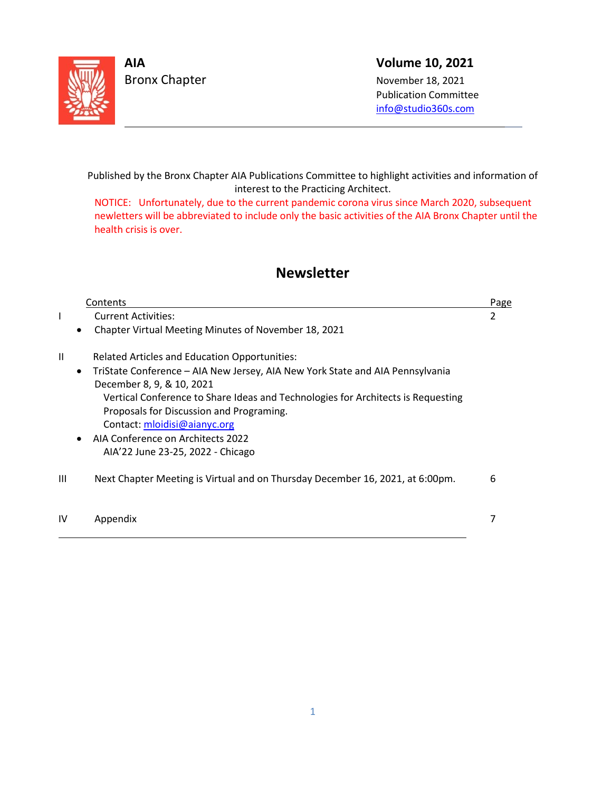

L

Bronx Chapter November 18, 2021

# **AIA Volume 10, 2021**

 Publication Committee info@s[tudio360s.com](mailto:info@studio360s.com)

Published by the Bronx Chapter AIA Publications Committee to highlight activities and information of interest to the Practicing Architect.

NOTICE: Unfortunately, due to the current pandemic corona virus since March 2020, subsequent newletters will be abbreviated to include only the basic activities of the AIA Bronx Chapter until the health crisis is over.

# **Newsletter**

|               | Contents                                                                                   | Page |
|---------------|--------------------------------------------------------------------------------------------|------|
| L             | <b>Current Activities:</b>                                                                 | 2    |
|               | Chapter Virtual Meeting Minutes of November 18, 2021<br>$\bullet$                          |      |
| $\mathbf{II}$ | <b>Related Articles and Education Opportunities:</b>                                       |      |
|               | TriState Conference - AIA New Jersey, AIA New York State and AIA Pennsylvania<br>$\bullet$ |      |
|               | December 8, 9, & 10, 2021                                                                  |      |
|               | Vertical Conference to Share Ideas and Technologies for Architects is Requesting           |      |
|               | Proposals for Discussion and Programing.                                                   |      |
|               | Contact: mloidisi@aianyc.org                                                               |      |
|               | AIA Conference on Architects 2022                                                          |      |
|               | AIA'22 June 23-25, 2022 - Chicago                                                          |      |
| Ш             | Next Chapter Meeting is Virtual and on Thursday December 16, 2021, at 6:00pm.              | 6    |
| IV            | Appendix                                                                                   |      |
|               |                                                                                            |      |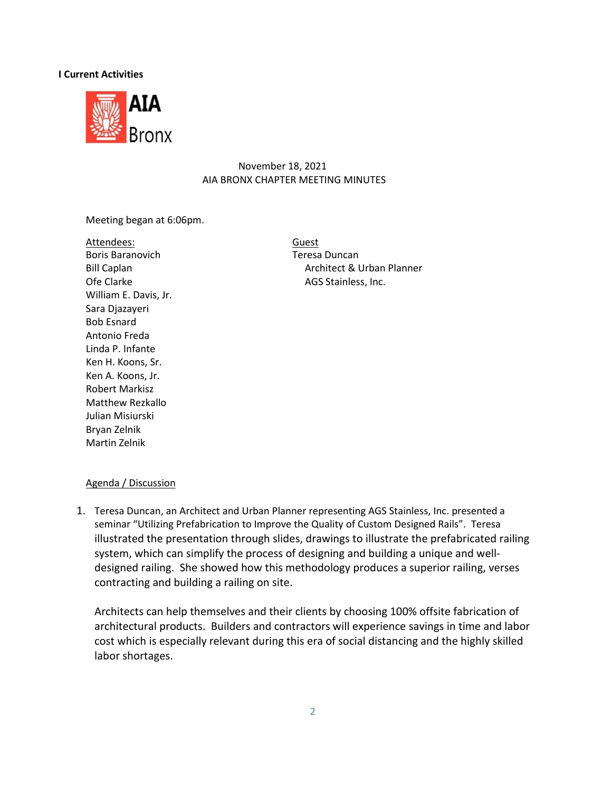## **I Current Activities**



## November 18, 2021 AIA BRONX CHAPTER MEETING MINUTES

Meeting began at 6:06pm.

Attendees: Guest Boris Baranovich **Teresa Duncan** Ofe Clarke AGS Stainless, Inc. William E. Davis, Jr. Sara Djazayeri Bob Esnard Antonio Freda Linda P. Infante Ken H. Koons, Sr. Ken A. Koons, Jr. Robert Markisz Matthew Rezkallo Julian Misiurski Bryan Zelnik Martin Zelnik

Bill Caplan **Architect & Urban Planner** 

## Agenda / Discussion

1. Teresa Duncan, an Architect and Urban Planner representing AGS Stainless, Inc. presented a seminar "Utilizing Prefabrication to Improve the Quality of Custom Designed Rails". Teresa illustrated the presentation through slides, drawings to illustrate the prefabricated railing system, which can simplify the process of designing and building a unique and welldesigned railing. She showed how this methodology produces a superior railing, verses contracting and building a railing on site.

Architects can help themselves and their clients by choosing 100% offsite fabrication of architectural products. Builders and contractors will experience savings in time and labor cost which is especially relevant during this era of social distancing and the highly skilled labor shortages.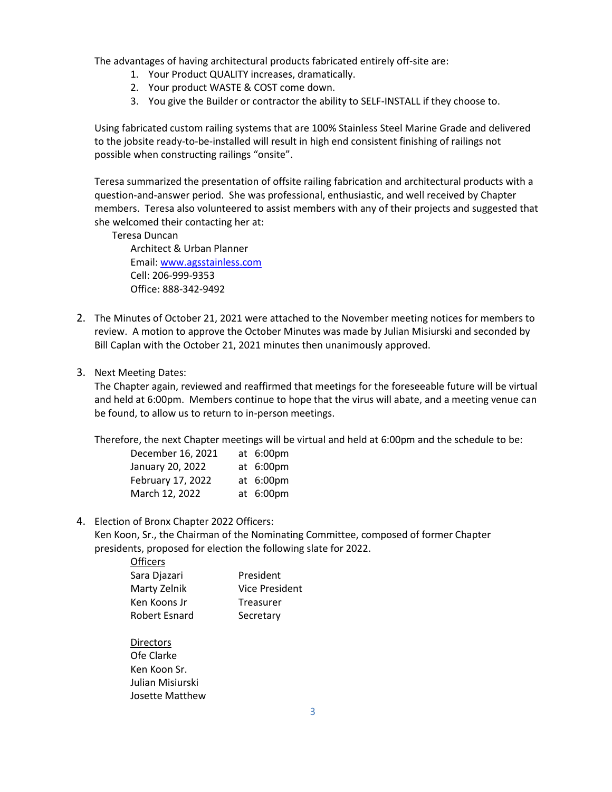The advantages of having architectural products fabricated entirely off-site are:

- 1. Your Product QUALITY increases, dramatically.
- 2. Your product WASTE & COST come down.
- 3. You give the Builder or contractor the ability to SELF-INSTALL if they choose to.

Using fabricated custom railing systems that are 100% Stainless Steel Marine Grade and delivered to the jobsite ready-to-be-installed will result in high end consistent finishing of railings not possible when constructing railings "onsite".

Teresa summarized the presentation of offsite railing fabrication and architectural products with a question-and-answer period. She was professional, enthusiastic, and well received by Chapter members. Teresa also volunteered to assist members with any of their projects and suggested that she welcomed their contacting her at:

Teresa Duncan

 Architect & Urban Planner Email[: www.agsstainless.com](http://www.agsstainless.com/) Cell: 206-999-9353 Office: 888-342-9492

- 2. The Minutes of October 21, 2021 were attached to the November meeting notices for members to review. A motion to approve the October Minutes was made by Julian Misiurski and seconded by Bill Caplan with the October 21, 2021 minutes then unanimously approved.
- 3. Next Meeting Dates:

The Chapter again, reviewed and reaffirmed that meetings for the foreseeable future will be virtual and held at 6:00pm. Members continue to hope that the virus will abate, and a meeting venue can be found, to allow us to return to in-person meetings.

Therefore, the next Chapter meetings will be virtual and held at 6:00pm and the schedule to be:

| December 16, 2021 | at 6:00pm |
|-------------------|-----------|
| January 20, 2022  | at 6:00pm |
| February 17, 2022 | at 6:00pm |
| March 12, 2022    | at 6:00pm |

4. Election of Bronx Chapter 2022 Officers:

Ken Koon, Sr., the Chairman of the Nominating Committee, composed of former Chapter presidents, proposed for election the following slate for 2022.

| Officers      |                  |
|---------------|------------------|
| Sara Djazari  | President        |
| Marty Zelnik  | Vice President   |
| Ken Koons Jr  | <b>Treasurer</b> |
| Robert Esnard | Secretary        |
|               |                  |

**Directors** Ofe Clarke Ken Koon Sr. Julian Misiurski Josette Matthew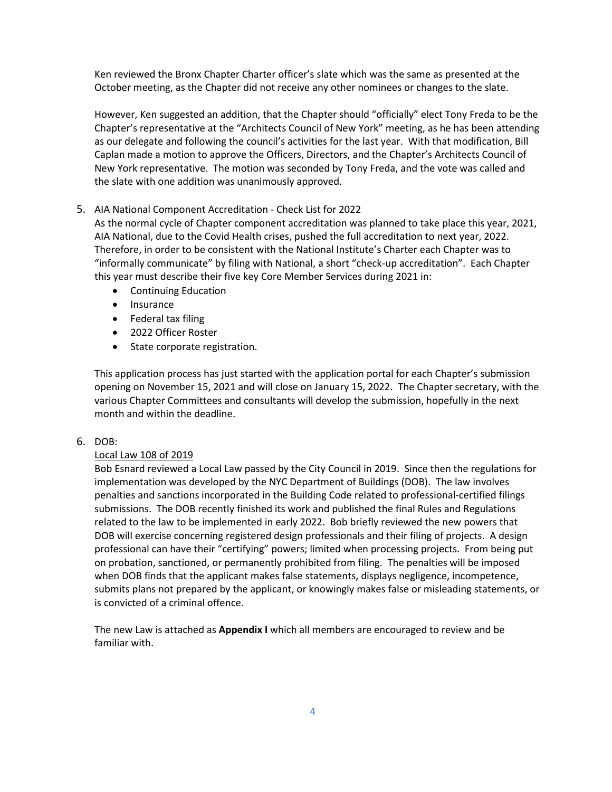Ken reviewed the Bronx Chapter Charter officer's slate which was the same as presented at the October meeting, as the Chapter did not receive any other nominees or changes to the slate.

However, Ken suggested an addition, that the Chapter should "officially" elect Tony Freda to be the Chapter's representative at the "Architects Council of New York" meeting, as he has been attending as our delegate and following the council's activities for the last year. With that modification, Bill Caplan made a motion to approve the Officers, Directors, and the Chapter's Architects Council of New York representative. The motion was seconded by Tony Freda, and the vote was called and the slate with one addition was unanimously approved.

### 5. AIA National Component Accreditation - Check List for 2022

As the normal cycle of Chapter component accreditation was planned to take place this year, 2021, AIA National, due to the Covid Health crises, pushed the full accreditation to next year, 2022. Therefore, in order to be consistent with the National Institute's Charter each Chapter was to "informally communicate" by filing with National, a short "check-up accreditation". Each Chapter this year must describe their five key Core Member Services during 2021 in:

- Continuing Education
- Insurance
- Federal tax filing
- 2022 Officer Roster
- State corporate registration.

This application process has just started with the application portal for each Chapter's submission opening on November 15, 2021 and will close on January 15, 2022. The Chapter secretary, with the various Chapter Committees and consultants will develop the submission, hopefully in the next month and within the deadline.

### 6. DOB:

### Local Law 108 of 2019

Bob Esnard reviewed a Local Law passed by the City Council in 2019. Since then the regulations for implementation was developed by the NYC Department of Buildings (DOB). The law involves penalties and sanctions incorporated in the Building Code related to professional-certified filings submissions. The DOB recently finished its work and published the final Rules and Regulations related to the law to be implemented in early 2022. Bob briefly reviewed the new powers that DOB will exercise concerning registered design professionals and their filing of projects. A design professional can have their "certifying" powers; limited when processing projects. From being put on probation, sanctioned, or permanently prohibited from filing. The penalties will be imposed when DOB finds that the applicant makes false statements, displays negligence, incompetence, submits plans not prepared by the applicant, or knowingly makes false or misleading statements, or is convicted of a criminal offence.

The new Law is attached as **Appendix I** which all members are encouraged to review and be familiar with.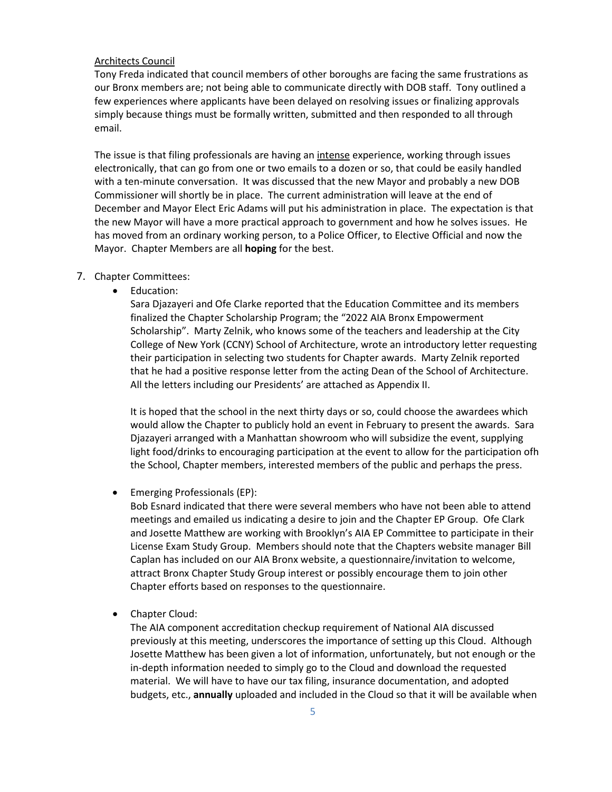### Architects Council

Tony Freda indicated that council members of other boroughs are facing the same frustrations as our Bronx members are; not being able to communicate directly with DOB staff. Tony outlined a few experiences where applicants have been delayed on resolving issues or finalizing approvals simply because things must be formally written, submitted and then responded to all through email.

The issue is that filing professionals are having an intense experience, working through issues electronically, that can go from one or two emails to a dozen or so, that could be easily handled with a ten-minute conversation. It was discussed that the new Mayor and probably a new DOB Commissioner will shortly be in place. The current administration will leave at the end of December and Mayor Elect Eric Adams will put his administration in place. The expectation is that the new Mayor will have a more practical approach to government and how he solves issues. He has moved from an ordinary working person, to a Police Officer, to Elective Official and now the Mayor. Chapter Members are all **hoping** for the best.

#### 7. Chapter Committees:

• Education:

Sara Djazayeri and Ofe Clarke reported that the Education Committee and its members finalized the Chapter Scholarship Program; the "2022 AIA Bronx Empowerment Scholarship". Marty Zelnik, who knows some of the teachers and leadership at the City College of New York (CCNY) School of Architecture, wrote an introductory letter requesting their participation in selecting two students for Chapter awards. Marty Zelnik reported that he had a positive response letter from the acting Dean of the School of Architecture. All the letters including our Presidents' are attached as Appendix II.

It is hoped that the school in the next thirty days or so, could choose the awardees which would allow the Chapter to publicly hold an event in February to present the awards. Sara Djazayeri arranged with a Manhattan showroom who will subsidize the event, supplying light food/drinks to encouraging participation at the event to allow for the participation ofh the School, Chapter members, interested members of the public and perhaps the press.

• Emerging Professionals (EP):

Bob Esnard indicated that there were several members who have not been able to attend meetings and emailed us indicating a desire to join and the Chapter EP Group. Ofe Clark and Josette Matthew are working with Brooklyn's AIA EP Committee to participate in their License Exam Study Group. Members should note that the Chapters website manager Bill Caplan has included on our AIA Bronx website, a questionnaire/invitation to welcome, attract Bronx Chapter Study Group interest or possibly encourage them to join other Chapter efforts based on responses to the questionnaire.

• Chapter Cloud:

The AIA component accreditation checkup requirement of National AIA discussed previously at this meeting, underscores the importance of setting up this Cloud. Although Josette Matthew has been given a lot of information, unfortunately, but not enough or the in-depth information needed to simply go to the Cloud and download the requested material. We will have to have our tax filing, insurance documentation, and adopted budgets, etc., **annually** uploaded and included in the Cloud so that it will be available when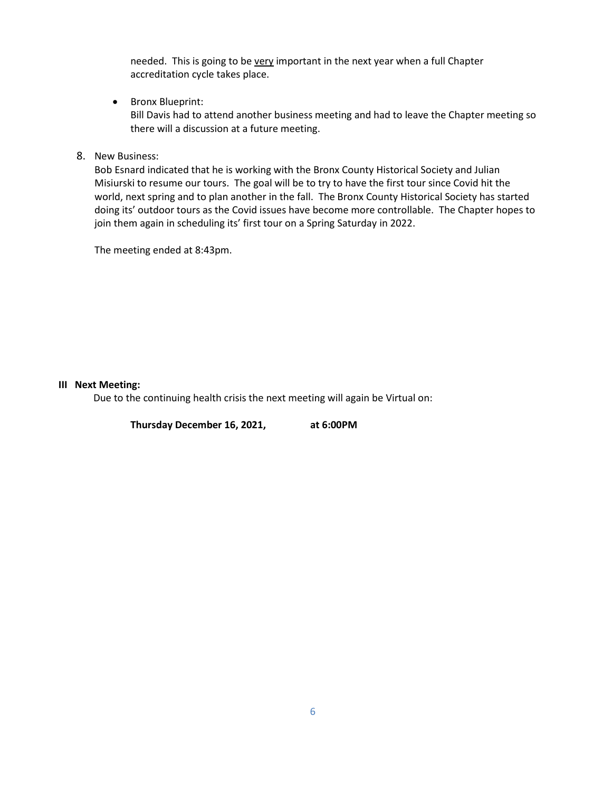needed. This is going to be very important in the next year when a full Chapter accreditation cycle takes place.

• Bronx Blueprint:

Bill Davis had to attend another business meeting and had to leave the Chapter meeting so there will a discussion at a future meeting.

8. New Business:

Bob Esnard indicated that he is working with the Bronx County Historical Society and Julian Misiurski to resume our tours. The goal will be to try to have the first tour since Covid hit the world, next spring and to plan another in the fall. The Bronx County Historical Society has started doing its' outdoor tours as the Covid issues have become more controllable. The Chapter hopes to join them again in scheduling its' first tour on a Spring Saturday in 2022.

The meeting ended at 8:43pm.

### **III Next Meeting:**

Due to the continuing health crisis the next meeting will again be Virtual on:

**Thursday December 16, 2021, at 6:00PM**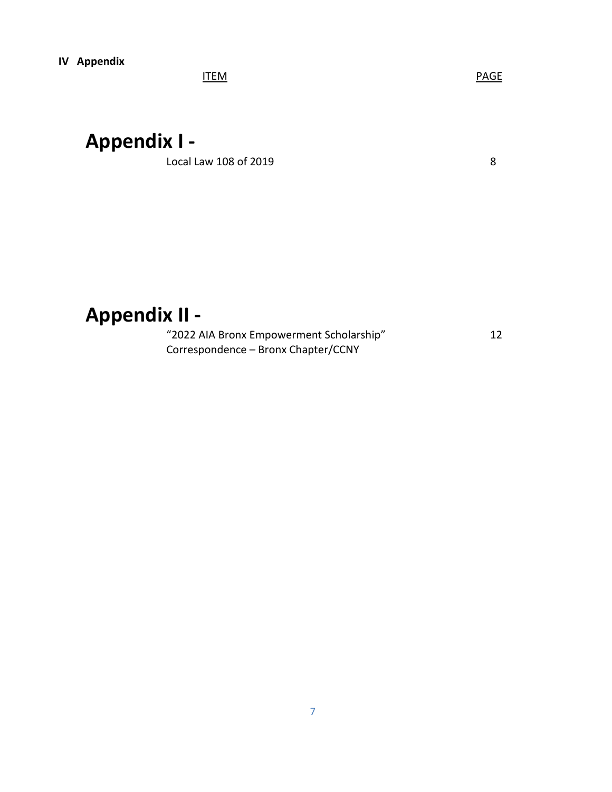ITEM PAGE

# **Appendix I -**

Local Law 108 of 2019 **8** 

# **Appendix II -**

"2022 AIA Bronx Empowerment Scholarship" 12 Correspondence – Bronx Chapter/CCNY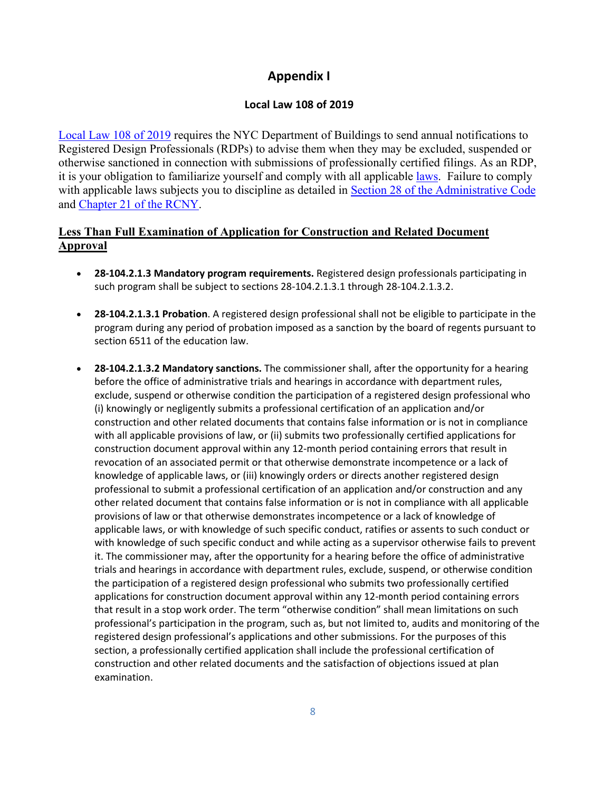# **Appendix I**

## **Local Law 108 of 2019**

[Local Law 108 of 2019](https://gcc02.safelinks.protection.outlook.com/?url=https%3A%2F%2Fwww1.nyc.gov%2Fassets%2Fbuildings%2Flocal_laws%2Fll108of2019.pdf&data=04%7C01%7CCRPonnathota%40buildings.nyc.gov%7Cbbb3a8ae96b044f1bb9908d99f902f7d%7C32f56fc75f814e22a95b15da66513bef%7C0%7C0%7C637716267689996712%7CUnknown%7CTWFpbGZsb3d8eyJWIjoiMC4wLjAwMDAiLCJQIjoiV2luMzIiLCJBTiI6Ik1haWwiLCJXVCI6Mn0%3D%7C1000&sdata=fcl8F3uynw0eqVw7zz3goHfETeWfhxRLSRs0NZZMndo%3D&reserved=0) requires the NYC Department of Buildings to send annual notifications to Registered Design Professionals (RDPs) to advise them when they may be excluded, suspended or otherwise sanctioned in connection with submissions of professionally certified filings. As an RDP, it is your obligation to familiarize yourself and comply with all applicable [laws.](https://gcc02.safelinks.protection.outlook.com/?url=https%3A%2F%2Fwww1.nyc.gov%2Fsite%2Fbuildings%2Fcodes%2Flocal-laws.page&data=04%7C01%7CCRPonnathota%40buildings.nyc.gov%7Cbbb3a8ae96b044f1bb9908d99f902f7d%7C32f56fc75f814e22a95b15da66513bef%7C0%7C0%7C637716267690006664%7CUnknown%7CTWFpbGZsb3d8eyJWIjoiMC4wLjAwMDAiLCJQIjoiV2luMzIiLCJBTiI6Ik1haWwiLCJXVCI6Mn0%3D%7C1000&sdata=eLaV%2Fp9O5fd0wIsN66vHP8rPM78OftfA5dR9qEPn5Lw%3D&reserved=0) Failure to comply with applicable laws subjects you to discipline as detailed in **Section 28 of the Administrative Code** and [Chapter 21 of the RCNY.](https://gcc02.safelinks.protection.outlook.com/?url=http%3A%2F%2Fwww.nyc.gov%2Fhtml%2Fdob%2Fdownloads%2Frules%2F1_RCNY_21-02.pdf&data=04%7C01%7CCRPonnathota%40buildings.nyc.gov%7Cbbb3a8ae96b044f1bb9908d99f902f7d%7C32f56fc75f814e22a95b15da66513bef%7C0%7C0%7C637716267690016622%7CUnknown%7CTWFpbGZsb3d8eyJWIjoiMC4wLjAwMDAiLCJQIjoiV2luMzIiLCJBTiI6Ik1haWwiLCJXVCI6Mn0%3D%7C1000&sdata=3o5QCcAlBW1zV%2FEqhheURTceK0oHk%2BBBSn7cBAmH%2FSw%3D&reserved=0)

## **Less Than Full Examination of Application for Construction and Related Document Approval**

- **28-104.2.1.3 Mandatory program requirements.** Registered design professionals participating in such program shall be subject to sections 28-104.2.1.3.1 through 28-104.2.1.3.2.
- **28-104.2.1.3.1 Probation**. A registered design professional shall not be eligible to participate in the program during any period of probation imposed as a sanction by the board of regents pursuant to section 6511 of the education law.
- **28-104.2.1.3.2 Mandatory sanctions.** The commissioner shall, after the opportunity for a hearing before the office of administrative trials and hearings in accordance with department rules, exclude, suspend or otherwise condition the participation of a registered design professional who (i) knowingly or negligently submits a professional certification of an application and/or construction and other related documents that contains false information or is not in compliance with all applicable provisions of law, or (ii) submits two professionally certified applications for construction document approval within any 12-month period containing errors that result in revocation of an associated permit or that otherwise demonstrate incompetence or a lack of knowledge of applicable laws, or (iii) knowingly orders or directs another registered design professional to submit a professional certification of an application and/or construction and any other related document that contains false information or is not in compliance with all applicable provisions of law or that otherwise demonstrates incompetence or a lack of knowledge of applicable laws, or with knowledge of such specific conduct, ratifies or assents to such conduct or with knowledge of such specific conduct and while acting as a supervisor otherwise fails to prevent it. The commissioner may, after the opportunity for a hearing before the office of administrative trials and hearings in accordance with department rules, exclude, suspend, or otherwise condition the participation of a registered design professional who submits two professionally certified applications for construction document approval within any 12-month period containing errors that result in a stop work order. The term "otherwise condition" shall mean limitations on such professional's participation in the program, such as, but not limited to, audits and monitoring of the registered design professional's applications and other submissions. For the purposes of this section, a professionally certified application shall include the professional certification of construction and other related documents and the satisfaction of objections issued at plan examination.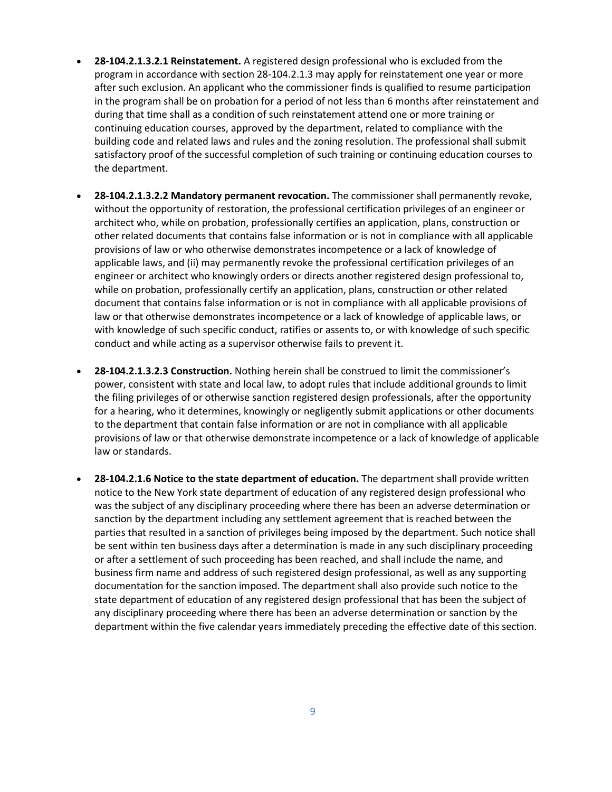- **28-104.2.1.3.2.1 Reinstatement.** A registered design professional who is excluded from the program in accordance with section 28-104.2.1.3 may apply for reinstatement one year or more after such exclusion. An applicant who the commissioner finds is qualified to resume participation in the program shall be on probation for a period of not less than 6 months after reinstatement and during that time shall as a condition of such reinstatement attend one or more training or continuing education courses, approved by the department, related to compliance with the building code and related laws and rules and the zoning resolution. The professional shall submit satisfactory proof of the successful completion of such training or continuing education courses to the department.
- **28-104.2.1.3.2.2 Mandatory permanent revocation.** The commissioner shall permanently revoke, without the opportunity of restoration, the professional certification privileges of an engineer or architect who, while on probation, professionally certifies an application, plans, construction or other related documents that contains false information or is not in compliance with all applicable provisions of law or who otherwise demonstrates incompetence or a lack of knowledge of applicable laws, and (ii) may permanently revoke the professional certification privileges of an engineer or architect who knowingly orders or directs another registered design professional to, while on probation, professionally certify an application, plans, construction or other related document that contains false information or is not in compliance with all applicable provisions of law or that otherwise demonstrates incompetence or a lack of knowledge of applicable laws, or with knowledge of such specific conduct, ratifies or assents to, or with knowledge of such specific conduct and while acting as a supervisor otherwise fails to prevent it.
- **28-104.2.1.3.2.3 Construction.** Nothing herein shall be construed to limit the commissioner's power, consistent with state and local law, to adopt rules that include additional grounds to limit the filing privileges of or otherwise sanction registered design professionals, after the opportunity for a hearing, who it determines, knowingly or negligently submit applications or other documents to the department that contain false information or are not in compliance with all applicable provisions of law or that otherwise demonstrate incompetence or a lack of knowledge of applicable law or standards.
- **28-104.2.1.6 Notice to the state department of education.** The department shall provide written notice to the New York state department of education of any registered design professional who was the subject of any disciplinary proceeding where there has been an adverse determination or sanction by the department including any settlement agreement that is reached between the parties that resulted in a sanction of privileges being imposed by the department. Such notice shall be sent within ten business days after a determination is made in any such disciplinary proceeding or after a settlement of such proceeding has been reached, and shall include the name, and business firm name and address of such registered design professional, as well as any supporting documentation for the sanction imposed. The department shall also provide such notice to the state department of education of any registered design professional that has been the subject of any disciplinary proceeding where there has been an adverse determination or sanction by the department within the five calendar years immediately preceding the effective date of this section.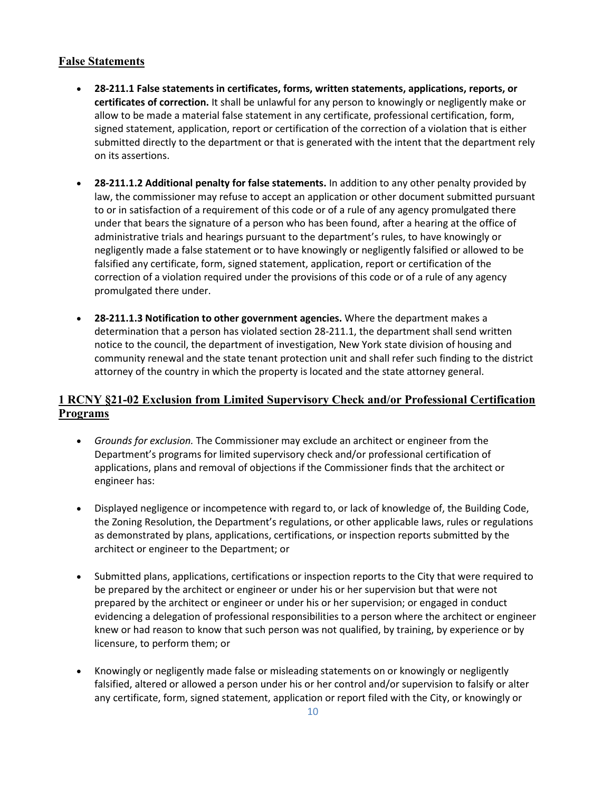## **False Statements**

- **28-211.1 False statements in certificates, forms, written statements, applications, reports, or certificates of correction.** It shall be unlawful for any person to knowingly or negligently make or allow to be made a material false statement in any certificate, professional certification, form, signed statement, application, report or certification of the correction of a violation that is either submitted directly to the department or that is generated with the intent that the department rely on its assertions.
- **28-211.1.2 Additional penalty for false statements.** In addition to any other penalty provided by law, the commissioner may refuse to accept an application or other document submitted pursuant to or in satisfaction of a requirement of this code or of a rule of any agency promulgated there under that bears the signature of a person who has been found, after a hearing at the office of administrative trials and hearings pursuant to the department's rules, to have knowingly or negligently made a false statement or to have knowingly or negligently falsified or allowed to be falsified any certificate, form, signed statement, application, report or certification of the correction of a violation required under the provisions of this code or of a rule of any agency promulgated there under.
- **28-211.1.3 Notification to other government agencies.** Where the department makes a determination that a person has violated section 28-211.1, the department shall send written notice to the council, the department of investigation, New York state division of housing and community renewal and the state tenant protection unit and shall refer such finding to the district attorney of the country in which the property is located and the state attorney general.

## **1 RCNY §21-02 Exclusion from Limited Supervisory Check and/or Professional Certification Programs**

- *Grounds for exclusion.* The Commissioner may exclude an architect or engineer from the Department's programs for limited supervisory check and/or professional certification of applications, plans and removal of objections if the Commissioner finds that the architect or engineer has:
- Displayed negligence or incompetence with regard to, or lack of knowledge of, the Building Code, the Zoning Resolution, the Department's regulations, or other applicable laws, rules or regulations as demonstrated by plans, applications, certifications, or inspection reports submitted by the architect or engineer to the Department; or
- Submitted plans, applications, certifications or inspection reports to the City that were required to be prepared by the architect or engineer or under his or her supervision but that were not prepared by the architect or engineer or under his or her supervision; or engaged in conduct evidencing a delegation of professional responsibilities to a person where the architect or engineer knew or had reason to know that such person was not qualified, by training, by experience or by licensure, to perform them; or
- Knowingly or negligently made false or misleading statements on or knowingly or negligently falsified, altered or allowed a person under his or her control and/or supervision to falsify or alter any certificate, form, signed statement, application or report filed with the City, or knowingly or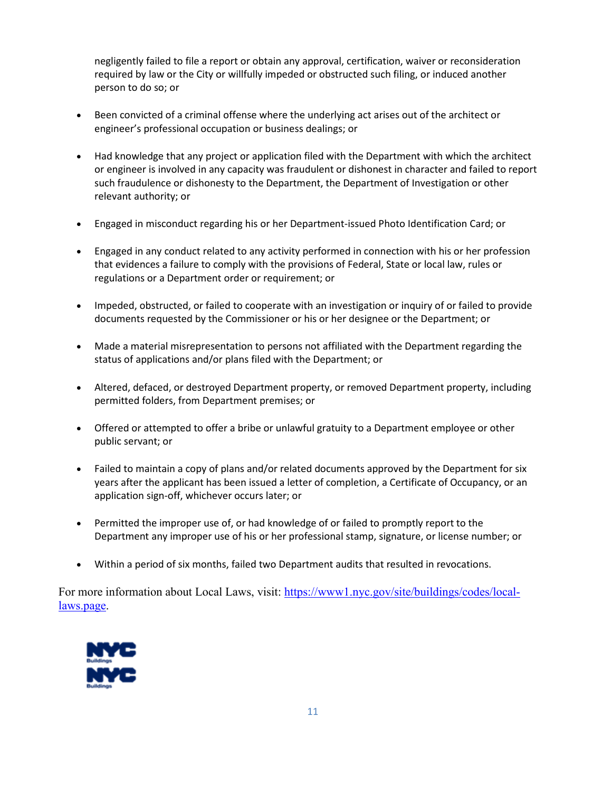negligently failed to file a report or obtain any approval, certification, waiver or reconsideration required by law or the City or willfully impeded or obstructed such filing, or induced another person to do so; or

- Been convicted of a criminal offense where the underlying act arises out of the architect or engineer's professional occupation or business dealings; or
- Had knowledge that any project or application filed with the Department with which the architect or engineer is involved in any capacity was fraudulent or dishonest in character and failed to report such fraudulence or dishonesty to the Department, the Department of Investigation or other relevant authority; or
- Engaged in misconduct regarding his or her Department-issued Photo Identification Card; or
- Engaged in any conduct related to any activity performed in connection with his or her profession that evidences a failure to comply with the provisions of Federal, State or local law, rules or regulations or a Department order or requirement; or
- Impeded, obstructed, or failed to cooperate with an investigation or inquiry of or failed to provide documents requested by the Commissioner or his or her designee or the Department; or
- Made a material misrepresentation to persons not affiliated with the Department regarding the status of applications and/or plans filed with the Department; or
- Altered, defaced, or destroyed Department property, or removed Department property, including permitted folders, from Department premises; or
- Offered or attempted to offer a bribe or unlawful gratuity to a Department employee or other public servant; or
- Failed to maintain a copy of plans and/or related documents approved by the Department for six years after the applicant has been issued a letter of completion, a Certificate of Occupancy, or an application sign-off, whichever occurs later; or
- Permitted the improper use of, or had knowledge of or failed to promptly report to the Department any improper use of his or her professional stamp, signature, or license number; or
- Within a period of six months, failed two Department audits that resulted in revocations.

For more information about Local Laws, visit: [https://www1.nyc.gov/site/buildings/codes/local](https://gcc02.safelinks.protection.outlook.com/?url=https%3A%2F%2Fwww1.nyc.gov%2Fsite%2Fbuildings%2Fcodes%2Flocal-laws.page&data=04%7C01%7CCRPonnathota%40buildings.nyc.gov%7Cbbb3a8ae96b044f1bb9908d99f902f7d%7C32f56fc75f814e22a95b15da66513bef%7C0%7C0%7C637716267690016622%7CUnknown%7CTWFpbGZsb3d8eyJWIjoiMC4wLjAwMDAiLCJQIjoiV2luMzIiLCJBTiI6Ik1haWwiLCJXVCI6Mn0%3D%7C1000&sdata=%2BcyA7T3Pt722J2imUblOd8CPsxEZ73UbsOB6dbs7SKA%3D&reserved=0)[laws.page.](https://gcc02.safelinks.protection.outlook.com/?url=https%3A%2F%2Fwww1.nyc.gov%2Fsite%2Fbuildings%2Fcodes%2Flocal-laws.page&data=04%7C01%7CCRPonnathota%40buildings.nyc.gov%7Cbbb3a8ae96b044f1bb9908d99f902f7d%7C32f56fc75f814e22a95b15da66513bef%7C0%7C0%7C637716267690016622%7CUnknown%7CTWFpbGZsb3d8eyJWIjoiMC4wLjAwMDAiLCJQIjoiV2luMzIiLCJBTiI6Ik1haWwiLCJXVCI6Mn0%3D%7C1000&sdata=%2BcyA7T3Pt722J2imUblOd8CPsxEZ73UbsOB6dbs7SKA%3D&reserved=0)

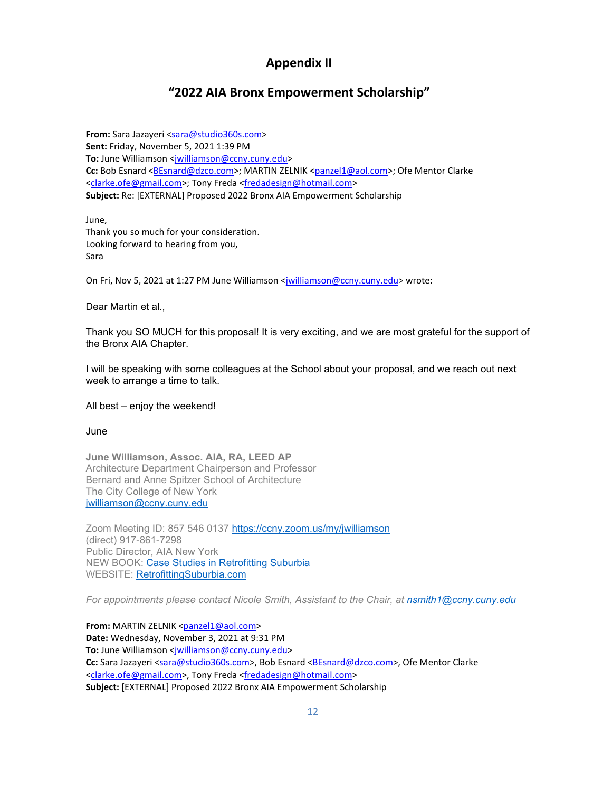# **Appendix II**

# **"2022 AIA Bronx Empowerment Scholarship"**

**From:** Sara Jazayeri [<sara@studio360s.com>](mailto:sara@studio360s.com) **Sent:** Friday, November 5, 2021 1:39 PM To: June Williamson [<jwilliamson@ccny.cuny.edu>](mailto:jwilliamson@ccny.cuny.edu) Cc: Bob Esnard [<BEsnard@dzco.com>](mailto:BEsnard@dzco.com); MARTIN ZELNIK [<panzel1@aol.com>](mailto:panzel1@aol.com); Ofe Mentor Clarke [<clarke.ofe@gmail.com>](mailto:clarke.ofe@gmail.com); Tony Freda [<fredadesign@hotmail.com>](mailto:fredadesign@hotmail.com) **Subject:** Re: [EXTERNAL] Proposed 2022 Bronx AIA Empowerment Scholarship

June, Thank you so much for your consideration. Looking forward to hearing from you, Sara

On Fri, Nov 5, 2021 at 1:27 PM June Williamson [<jwilliamson@ccny.cuny.edu>](mailto:jwilliamson@ccny.cuny.edu) wrote:

Dear Martin et al.,

Thank you SO MUCH for this proposal! It is very exciting, and we are most grateful for the support of the Bronx AIA Chapter.

I will be speaking with some colleagues at the School about your proposal, and we reach out next week to arrange a time to talk.

### All best – enjoy the weekend!

### June

**June Williamson, Assoc. AIA, RA, LEED AP** Architecture Department Chairperson and Professor Bernard and Anne Spitzer School of Architecture The City College of New York [jwilliamson@ccny.cuny.edu](mailto:jwilliamson@ccny.cuny.edu)

Zoom Meeting ID: 857 546 0137<https://ccny.zoom.us/my/jwilliamson> (direct) 917-861-7298 Public Director, AIA New York NEW BOOK: [Case Studies in Retrofitting Suburbia](https://www.wiley.com/en-us/Case+Studies+in+Retrofitting+Suburbia%3A+Urban+Design+Strategies+for+Urgent+Challenges-p-9781119149170) WEBSITE: [RetrofittingSuburbia.com](https://linkprotect.cudasvc.com/url?a=https%3a%2f%2fretrofittingsuburbia.com%2f&c=E,1,xnMbeXOU8NyTAGsAYpHjNVLagVoyjd0hSL8qw5E7I1XC0uDDrxUxykZdo82HbkRweqh6xf_pz3zlBDOVlC6zq4PFYBPosdq1WLFh36P2nxW26BWHiPCqYY7mhlSf&typo=1)

*For appointments please contact Nicole Smith, Assistant to the Chair, at [nsmith1@ccny.cuny.edu](mailto:nsmith1@ccny.cuny.edu)*

**From: MARTIN ZELNIK [<panzel1@aol.com>](mailto:panzel1@aol.com) Date:** Wednesday, November 3, 2021 at 9:31 PM To: June Williamson [<jwilliamson@ccny.cuny.edu>](mailto:jwilliamson@ccny.cuny.edu) **Cc:** Sara Jazayeri [<sara@studio360s.com>](mailto:sara@studio360s.com), Bob Esnard [<BEsnard@dzco.com>](mailto:BEsnard@dzco.com), Ofe Mentor Clarke [<clarke.ofe@gmail.com>](mailto:clarke.ofe@gmail.com), Tony Freda [<fredadesign@hotmail.com>](mailto:fredadesign@hotmail.com) **Subject:** [EXTERNAL] Proposed 2022 Bronx AIA Empowerment Scholarship